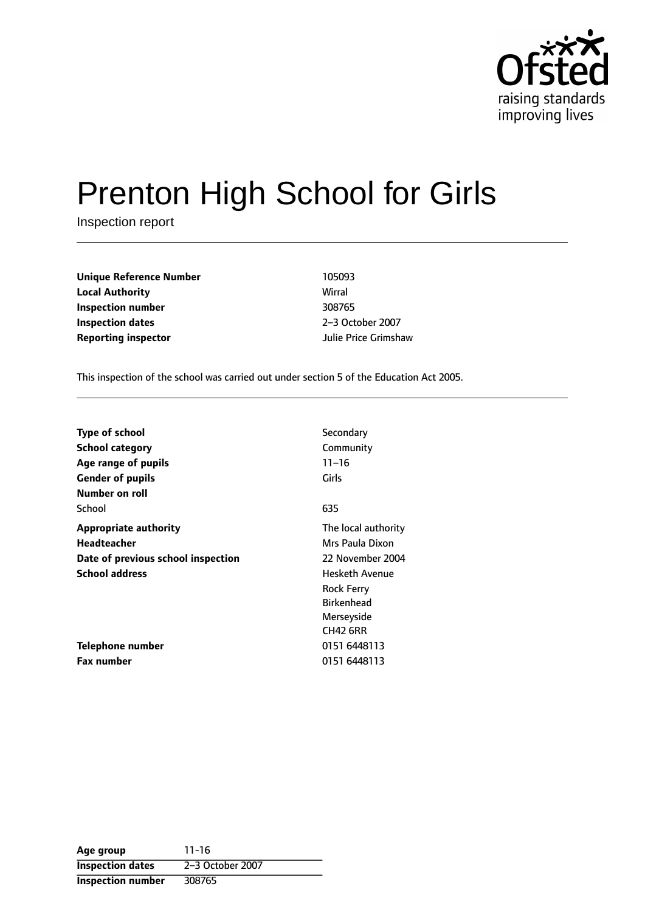

# Prenton High School for Girls

Inspection report

**Unique Reference Number** 105093 **Local Authority** Wirral **Inspection number** 308765 **Inspection dates** 2-3 October 2007 **Reporting inspector** Julie Price Grimshaw

This inspection of the school was carried out under section 5 of the Education Act 2005.

| <b>Type of school</b><br>School category<br>Age range of pupils<br><b>Gender of pupils</b>                 | Secondary<br>Community<br>$11 - 16$<br>Girls                                        |
|------------------------------------------------------------------------------------------------------------|-------------------------------------------------------------------------------------|
| Number on roll<br>School                                                                                   | 635                                                                                 |
| <b>Appropriate authority</b><br>Headteacher<br>Date of previous school inspection<br><b>School address</b> | The local authority<br>Mrs Paula Dixon<br>22 November 2004<br><b>Hesketh Avenue</b> |
|                                                                                                            | Rock Ferry<br><b>Birkenhead</b><br>Merseyside<br><b>CH42 6RR</b>                    |
| Telephone number                                                                                           | 0151 6448113                                                                        |
| <b>Fax number</b>                                                                                          | 0151 6448113                                                                        |

**Age group** 11-16 **Inspection dates** 2-3 October 2007 **Inspection number** 308765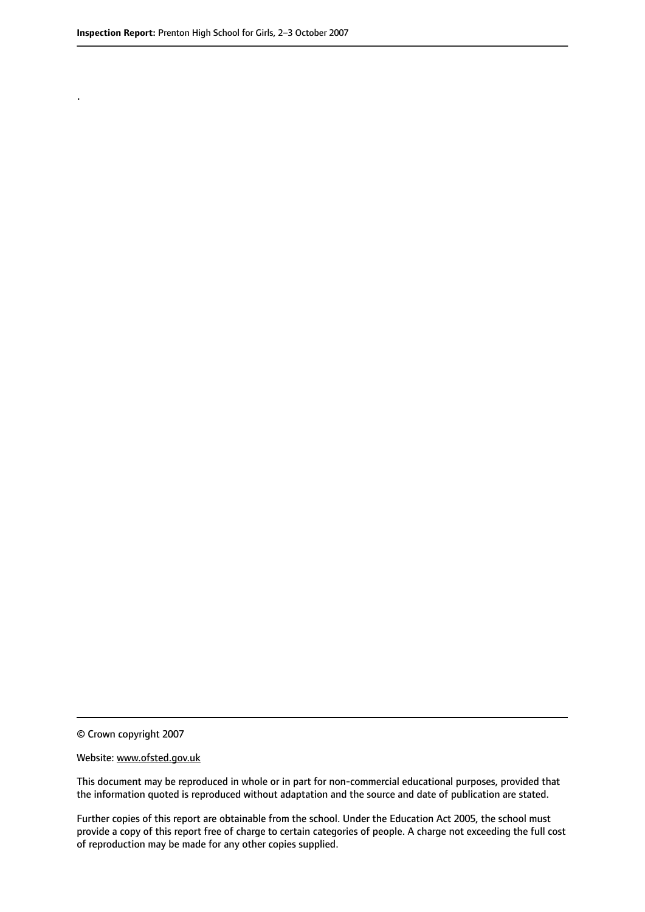.

© Crown copyright 2007

#### Website: www.ofsted.gov.uk

This document may be reproduced in whole or in part for non-commercial educational purposes, provided that the information quoted is reproduced without adaptation and the source and date of publication are stated.

Further copies of this report are obtainable from the school. Under the Education Act 2005, the school must provide a copy of this report free of charge to certain categories of people. A charge not exceeding the full cost of reproduction may be made for any other copies supplied.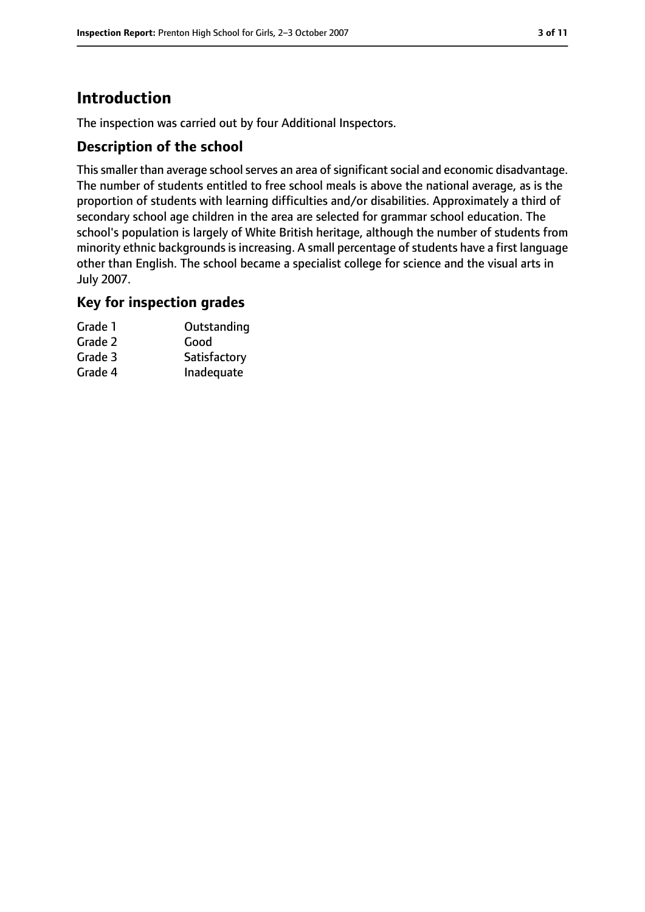# **Introduction**

The inspection was carried out by four Additional Inspectors.

#### **Description of the school**

This smaller than average school serves an area of significant social and economic disadvantage. The number of students entitled to free school meals is above the national average, as is the proportion of students with learning difficulties and/or disabilities. Approximately a third of secondary school age children in the area are selected for grammar school education. The school's population is largely of White British heritage, although the number of students from minority ethnic backgrounds is increasing. A small percentage of students have a first language other than English. The school became a specialist college for science and the visual arts in July 2007.

#### **Key for inspection grades**

| Grade 1 | Outstanding  |
|---------|--------------|
| Grade 2 | Good         |
| Grade 3 | Satisfactory |
| Grade 4 | Inadequate   |
|         |              |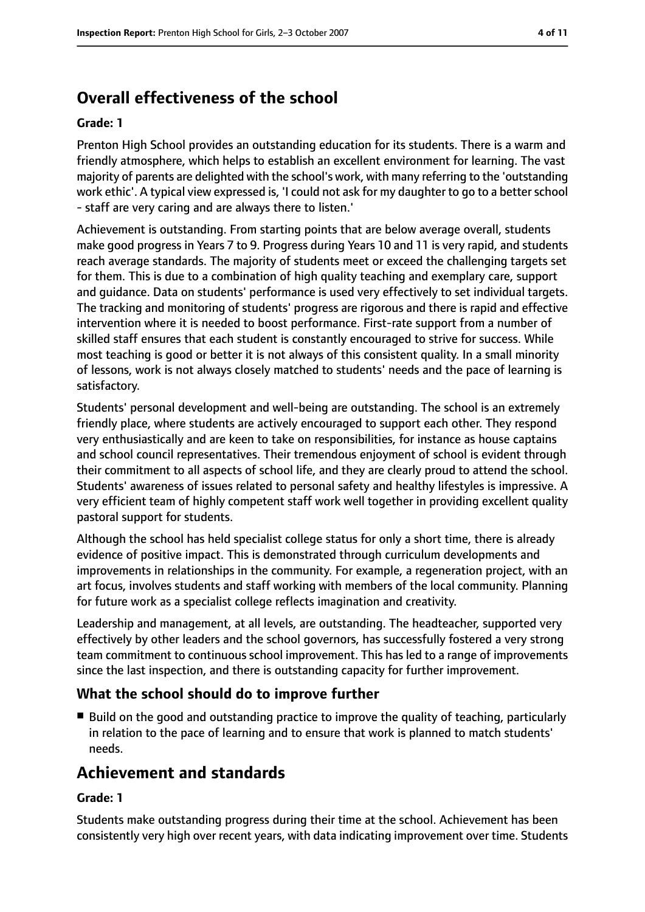# **Overall effectiveness of the school**

#### **Grade: 1**

Prenton High School provides an outstanding education for its students. There is a warm and friendly atmosphere, which helps to establish an excellent environment for learning. The vast majority of parents are delighted with the school's work, with many referring to the 'outstanding work ethic'. A typical view expressed is, 'I could not ask for my daughter to go to a better school - staff are very caring and are always there to listen.'

Achievement is outstanding. From starting points that are below average overall, students make good progress in Years 7 to 9. Progress during Years 10 and 11 is very rapid, and students reach average standards. The majority of students meet or exceed the challenging targets set for them. This is due to a combination of high quality teaching and exemplary care, support and guidance. Data on students' performance is used very effectively to set individual targets. The tracking and monitoring of students' progress are rigorous and there is rapid and effective intervention where it is needed to boost performance. First-rate support from a number of skilled staff ensures that each student is constantly encouraged to strive for success. While most teaching is good or better it is not always of this consistent quality. In a small minority of lessons, work is not always closely matched to students' needs and the pace of learning is satisfactory.

Students' personal development and well-being are outstanding. The school is an extremely friendly place, where students are actively encouraged to support each other. They respond very enthusiastically and are keen to take on responsibilities, for instance as house captains and school council representatives. Their tremendous enjoyment of school is evident through their commitment to all aspects of school life, and they are clearly proud to attend the school. Students' awareness of issues related to personal safety and healthy lifestyles is impressive. A very efficient team of highly competent staff work well together in providing excellent quality pastoral support for students.

Although the school has held specialist college status for only a short time, there is already evidence of positive impact. This is demonstrated through curriculum developments and improvements in relationships in the community. For example, a regeneration project, with an art focus, involves students and staff working with members of the local community. Planning for future work as a specialist college reflects imagination and creativity.

Leadership and management, at all levels, are outstanding. The headteacher, supported very effectively by other leaders and the school governors, has successfully fostered a very strong team commitment to continuous school improvement. This has led to a range of improvements since the last inspection, and there is outstanding capacity for further improvement.

#### **What the school should do to improve further**

■ Build on the good and outstanding practice to improve the quality of teaching, particularly in relation to the pace of learning and to ensure that work is planned to match students' needs.

# **Achievement and standards**

#### **Grade: 1**

Students make outstanding progress during their time at the school. Achievement has been consistently very high over recent years, with data indicating improvement over time. Students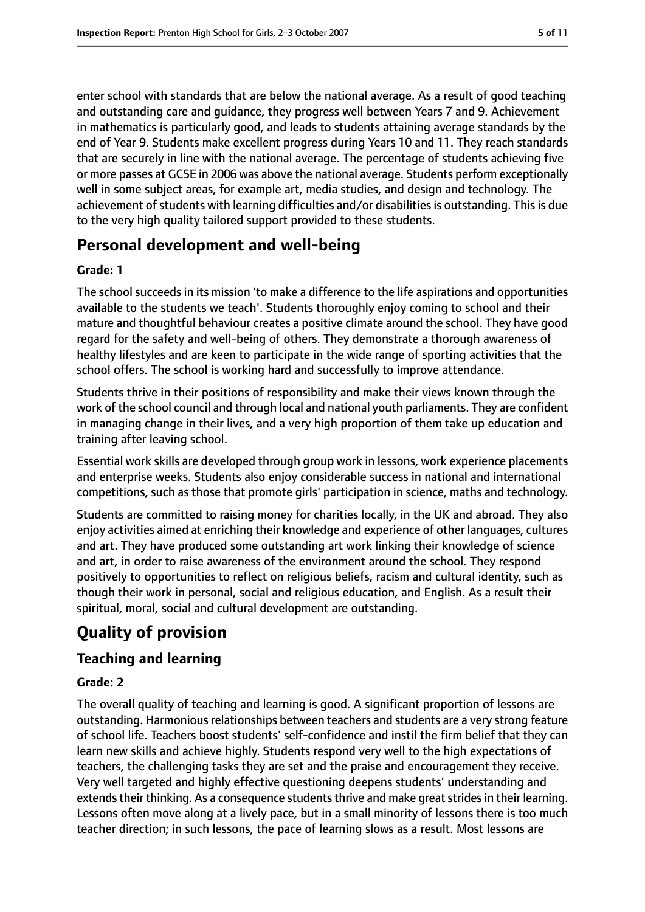enter school with standards that are below the national average. As a result of good teaching and outstanding care and guidance, they progress well between Years 7 and 9. Achievement in mathematics is particularly good, and leads to students attaining average standards by the end of Year 9. Students make excellent progress during Years 10 and 11. They reach standards that are securely in line with the national average. The percentage of students achieving five or more passes at GCSE in 2006 was above the national average. Students perform exceptionally well in some subject areas, for example art, media studies, and design and technology. The achievement of students with learning difficulties and/or disabilities is outstanding. This is due to the very high quality tailored support provided to these students.

# **Personal development and well-being**

#### **Grade: 1**

The school succeeds in its mission 'to make a difference to the life aspirations and opportunities available to the students we teach'. Students thoroughly enjoy coming to school and their mature and thoughtful behaviour creates a positive climate around the school. They have good regard for the safety and well-being of others. They demonstrate a thorough awareness of healthy lifestyles and are keen to participate in the wide range of sporting activities that the school offers. The school is working hard and successfully to improve attendance.

Students thrive in their positions of responsibility and make their views known through the work of the school council and through local and national youth parliaments. They are confident in managing change in their lives, and a very high proportion of them take up education and training after leaving school.

Essential work skills are developed through group work in lessons, work experience placements and enterprise weeks. Students also enjoy considerable success in national and international competitions, such as those that promote girls' participation in science, maths and technology.

Students are committed to raising money for charities locally, in the UK and abroad. They also enjoy activities aimed at enriching their knowledge and experience of other languages, cultures and art. They have produced some outstanding art work linking their knowledge of science and art, in order to raise awareness of the environment around the school. They respond positively to opportunities to reflect on religious beliefs, racism and cultural identity, such as though their work in personal, social and religious education, and English. As a result their spiritual, moral, social and cultural development are outstanding.

# **Quality of provision**

## **Teaching and learning**

#### **Grade: 2**

The overall quality of teaching and learning is good. A significant proportion of lessons are outstanding. Harmonious relationships between teachers and students are a very strong feature of school life. Teachers boost students' self-confidence and instil the firm belief that they can learn new skills and achieve highly. Students respond very well to the high expectations of teachers, the challenging tasks they are set and the praise and encouragement they receive. Very well targeted and highly effective questioning deepens students' understanding and extends their thinking. As a consequence students thrive and make great strides in their learning. Lessons often move along at a lively pace, but in a small minority of lessons there is too much teacher direction; in such lessons, the pace of learning slows as a result. Most lessons are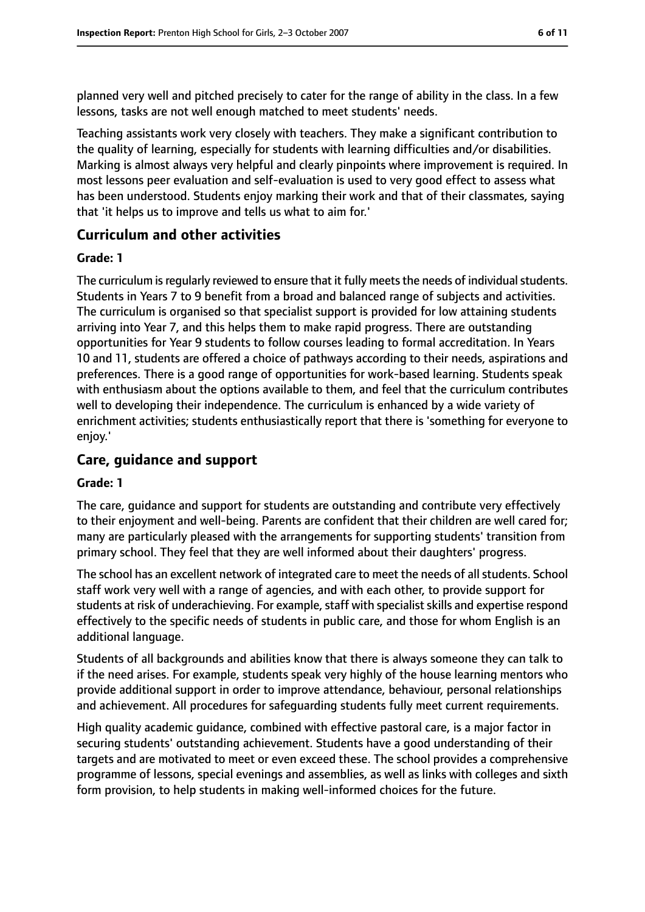planned very well and pitched precisely to cater for the range of ability in the class. In a few lessons, tasks are not well enough matched to meet students' needs.

Teaching assistants work very closely with teachers. They make a significant contribution to the quality of learning, especially for students with learning difficulties and/or disabilities. Marking is almost always very helpful and clearly pinpoints where improvement is required. In most lessons peer evaluation and self-evaluation is used to very good effect to assess what has been understood. Students enjoy marking their work and that of their classmates, saying that 'it helps us to improve and tells us what to aim for.'

#### **Curriculum and other activities**

#### **Grade: 1**

The curriculum is regularly reviewed to ensure that it fully meets the needs of individual students. Students in Years 7 to 9 benefit from a broad and balanced range of subjects and activities. The curriculum is organised so that specialist support is provided for low attaining students arriving into Year 7, and this helps them to make rapid progress. There are outstanding opportunities for Year 9 students to follow courses leading to formal accreditation. In Years 10 and 11, students are offered a choice of pathways according to their needs, aspirations and preferences. There is a good range of opportunities for work-based learning. Students speak with enthusiasm about the options available to them, and feel that the curriculum contributes well to developing their independence. The curriculum is enhanced by a wide variety of enrichment activities; students enthusiastically report that there is 'something for everyone to enjoy.'

#### **Care, guidance and support**

#### **Grade: 1**

The care, guidance and support for students are outstanding and contribute very effectively to their enjoyment and well-being. Parents are confident that their children are well cared for; many are particularly pleased with the arrangements for supporting students' transition from primary school. They feel that they are well informed about their daughters' progress.

The school has an excellent network of integrated care to meet the needs of all students. School staff work very well with a range of agencies, and with each other, to provide support for students at risk of underachieving. For example, staff with specialist skills and expertise respond effectively to the specific needs of students in public care, and those for whom English is an additional language.

Students of all backgrounds and abilities know that there is always someone they can talk to if the need arises. For example, students speak very highly of the house learning mentors who provide additional support in order to improve attendance, behaviour, personal relationships and achievement. All procedures for safeguarding students fully meet current requirements.

High quality academic guidance, combined with effective pastoral care, is a major factor in securing students' outstanding achievement. Students have a good understanding of their targets and are motivated to meet or even exceed these. The school provides a comprehensive programme of lessons, special evenings and assemblies, as well as links with colleges and sixth form provision, to help students in making well-informed choices for the future.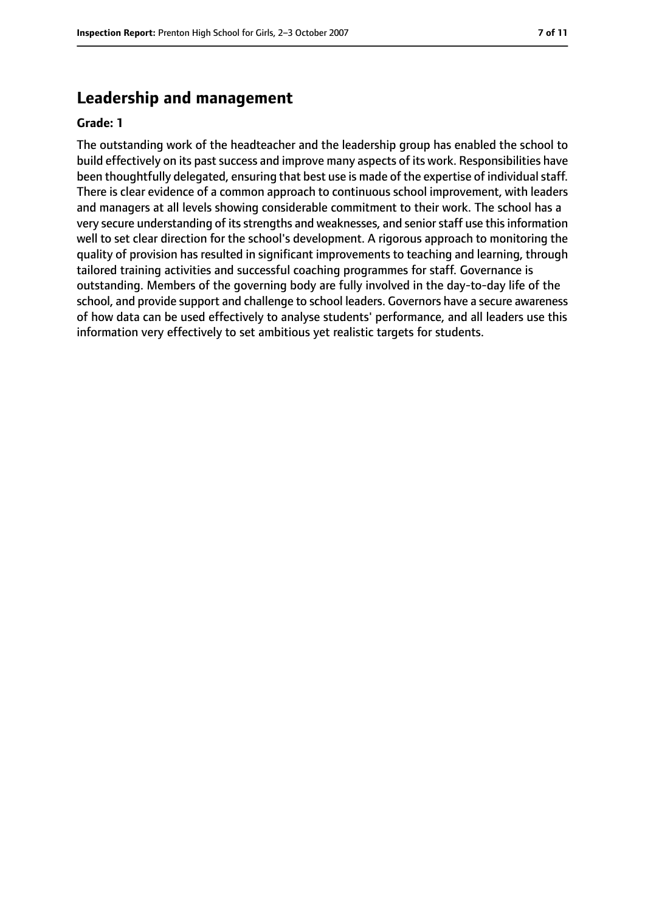## **Leadership and management**

#### **Grade: 1**

The outstanding work of the headteacher and the leadership group has enabled the school to build effectively on its past success and improve many aspects of its work. Responsibilities have been thoughtfully delegated, ensuring that best use is made of the expertise of individual staff. There is clear evidence of a common approach to continuous school improvement, with leaders and managers at all levels showing considerable commitment to their work. The school has a very secure understanding of its strengths and weaknesses, and senior staff use this information well to set clear direction for the school's development. A rigorous approach to monitoring the quality of provision has resulted in significant improvements to teaching and learning, through tailored training activities and successful coaching programmes for staff. Governance is outstanding. Members of the governing body are fully involved in the day-to-day life of the school, and provide support and challenge to school leaders. Governors have a secure awareness of how data can be used effectively to analyse students' performance, and all leaders use this information very effectively to set ambitious yet realistic targets for students.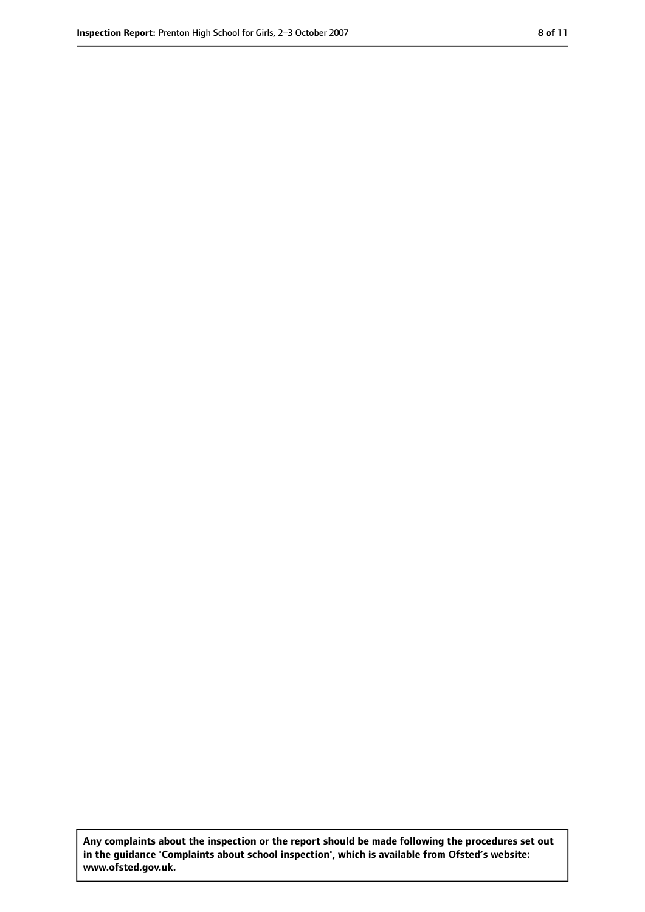**Any complaints about the inspection or the report should be made following the procedures set out in the guidance 'Complaints about school inspection', which is available from Ofsted's website: www.ofsted.gov.uk.**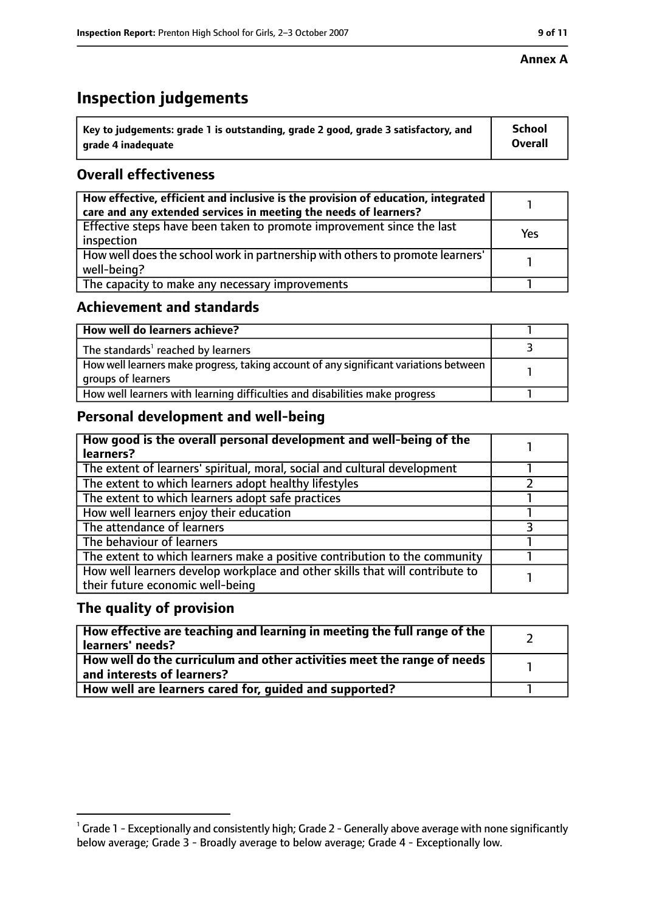#### **Annex A**

# **Inspection judgements**

| $\degree$ Key to judgements: grade 1 is outstanding, grade 2 good, grade 3 satisfactory, and | School         |
|----------------------------------------------------------------------------------------------|----------------|
| arade 4 inadequate                                                                           | <b>Overall</b> |

## **Overall effectiveness**

| How effective, efficient and inclusive is the provision of education, integrated<br>care and any extended services in meeting the needs of learners? |     |
|------------------------------------------------------------------------------------------------------------------------------------------------------|-----|
| Effective steps have been taken to promote improvement since the last<br>inspection                                                                  | Yes |
| How well does the school work in partnership with others to promote learners'<br>well-being?                                                         |     |
| The capacity to make any necessary improvements                                                                                                      |     |

## **Achievement and standards**

| How well do learners achieve?                                                                               |  |
|-------------------------------------------------------------------------------------------------------------|--|
| The standards <sup>1</sup> reached by learners                                                              |  |
| How well learners make progress, taking account of any significant variations between<br>groups of learners |  |
| How well learners with learning difficulties and disabilities make progress                                 |  |

## **Personal development and well-being**

| How good is the overall personal development and well-being of the<br>learners?                                  |  |
|------------------------------------------------------------------------------------------------------------------|--|
| The extent of learners' spiritual, moral, social and cultural development                                        |  |
| The extent to which learners adopt healthy lifestyles                                                            |  |
| The extent to which learners adopt safe practices                                                                |  |
| How well learners enjoy their education                                                                          |  |
| The attendance of learners                                                                                       |  |
| The behaviour of learners                                                                                        |  |
| The extent to which learners make a positive contribution to the community                                       |  |
| How well learners develop workplace and other skills that will contribute to<br>their future economic well-being |  |

### **The quality of provision**

| How effective are teaching and learning in meeting the full range of the<br>learners' needs?          |  |
|-------------------------------------------------------------------------------------------------------|--|
| How well do the curriculum and other activities meet the range of needs<br>and interests of learners? |  |
| How well are learners cared for, guided and supported?                                                |  |

 $^1$  Grade 1 - Exceptionally and consistently high; Grade 2 - Generally above average with none significantly below average; Grade 3 - Broadly average to below average; Grade 4 - Exceptionally low.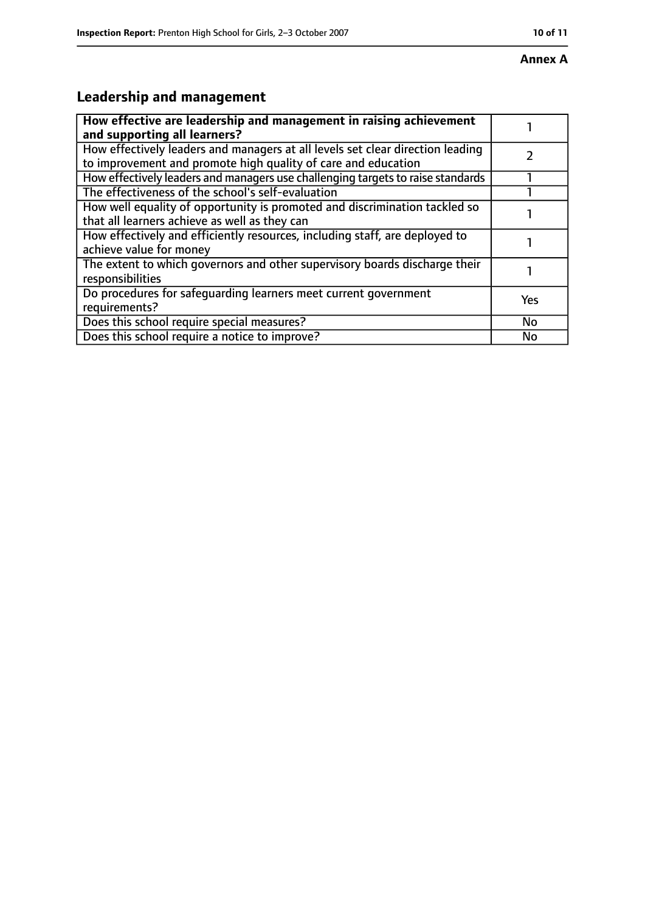# **Leadership and management**

| How effective are leadership and management in raising achievement<br>and supporting all learners?                                              |     |
|-------------------------------------------------------------------------------------------------------------------------------------------------|-----|
| How effectively leaders and managers at all levels set clear direction leading<br>to improvement and promote high quality of care and education |     |
| How effectively leaders and managers use challenging targets to raise standards                                                                 |     |
| The effectiveness of the school's self-evaluation                                                                                               |     |
| How well equality of opportunity is promoted and discrimination tackled so<br>that all learners achieve as well as they can                     |     |
| How effectively and efficiently resources, including staff, are deployed to<br>achieve value for money                                          |     |
| The extent to which governors and other supervisory boards discharge their<br>responsibilities                                                  |     |
| Do procedures for safequarding learners meet current government<br>requirements?                                                                | Yes |
| Does this school require special measures?                                                                                                      | No  |
| Does this school require a notice to improve?                                                                                                   | No  |